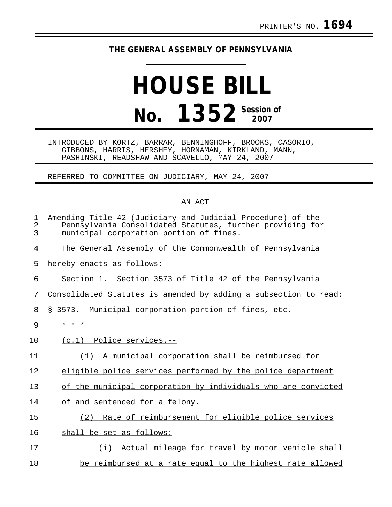## **THE GENERAL ASSEMBLY OF PENNSYLVANIA**

## **HOUSE BILL No. 1352 Session of**

INTRODUCED BY KORTZ, BARRAR, BENNINGHOFF, BROOKS, CASORIO, GIBBONS, HARRIS, HERSHEY, HORNAMAN, KIRKLAND, MANN, PASHINSKI, READSHAW AND SCAVELLO, MAY 24, 2007

REFERRED TO COMMITTEE ON JUDICIARY, MAY 24, 2007

## AN ACT

| $\mathbf{1}$<br>$\overline{2}$<br>3 | Amending Title 42 (Judiciary and Judicial Procedure) of the<br>Pennsylvania Consolidated Statutes, further providing for<br>municipal corporation portion of fines. |
|-------------------------------------|---------------------------------------------------------------------------------------------------------------------------------------------------------------------|
| 4                                   | The General Assembly of the Commonwealth of Pennsylvania                                                                                                            |
| 5                                   | hereby enacts as follows:                                                                                                                                           |
| 6                                   | Section 1. Section 3573 of Title 42 of the Pennsylvania                                                                                                             |
| 7                                   | Consolidated Statutes is amended by adding a subsection to read:                                                                                                    |
| 8                                   | § 3573. Municipal corporation portion of fines, etc.                                                                                                                |
| 9                                   | $* * *$                                                                                                                                                             |
| 10                                  | (c.1) Police services.--                                                                                                                                            |
| 11                                  | A municipal corporation shall be reimbursed for<br>(1)                                                                                                              |
| $12 \,$                             | eligible police services performed by the police department                                                                                                         |
| 13                                  | of the municipal corporation by individuals who are convicted                                                                                                       |
| 14                                  | of and sentenced for a felony.                                                                                                                                      |
| 15                                  | Rate of reimbursement for eligible police services<br>(2)                                                                                                           |
| 16                                  | shall be set as follows:                                                                                                                                            |
| 17                                  | Actual mileage for travel by motor vehicle shall<br>(i)                                                                                                             |
| 18                                  | be reimbursed at a rate equal to the highest rate allowed                                                                                                           |